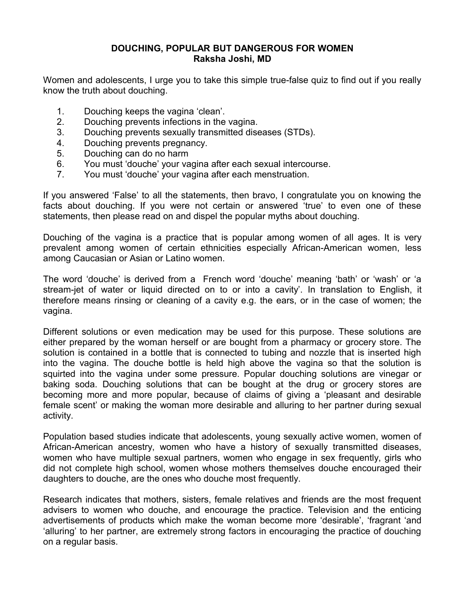## **DOUCHING, POPULAR BUT DANGEROUS FOR WOMEN Raksha Joshi, MD**

Women and adolescents, I urge you to take this simple true-false quiz to find out if you really know the truth about douching.

- 1. Douching keeps the vagina 'clean'.
- 2. Douching prevents infections in the vagina.
- 3. Douching prevents sexually transmitted diseases (STDs).
- 4. Douching prevents pregnancy.
- 5. Douching can do no harm
- 6. You must 'douche' your vagina after each sexual intercourse.
- 7. You must 'douche' your vagina after each menstruation.

If you answered 'False' to all the statements, then bravo, I congratulate you on knowing the facts about douching. If you were not certain or answered 'true' to even one of these statements, then please read on and dispel the popular myths about douching.

Douching of the vagina is a practice that is popular among women of all ages. It is very prevalent among women of certain ethnicities especially African-American women, less among Caucasian or Asian or Latino women.

The word 'douche' is derived from a French word 'douche' meaning 'bath' or 'wash' or 'a stream-jet of water or liquid directed on to or into a cavity'. In translation to English, it therefore means rinsing or cleaning of a cavity e.g. the ears, or in the case of women; the vagina.

Different solutions or even medication may be used for this purpose. These solutions are either prepared by the woman herself or are bought from a pharmacy or grocery store. The solution is contained in a bottle that is connected to tubing and nozzle that is inserted high into the vagina. The douche bottle is held high above the vagina so that the solution is squirted into the vagina under some pressure. Popular douching solutions are vinegar or baking soda. Douching solutions that can be bought at the drug or grocery stores are becoming more and more popular, because of claims of giving a 'pleasant and desirable female scent' or making the woman more desirable and alluring to her partner during sexual activity.

Population based studies indicate that adolescents, young sexually active women, women of African-American ancestry, women who have a history of sexually transmitted diseases, women who have multiple sexual partners, women who engage in sex frequently, girls who did not complete high school, women whose mothers themselves douche encouraged their daughters to douche, are the ones who douche most frequently.

Research indicates that mothers, sisters, female relatives and friends are the most frequent advisers to women who douche, and encourage the practice. Television and the enticing advertisements of products which make the woman become more 'desirable', 'fragrant 'and 'alluring' to her partner, are extremely strong factors in encouraging the practice of douching on a regular basis.